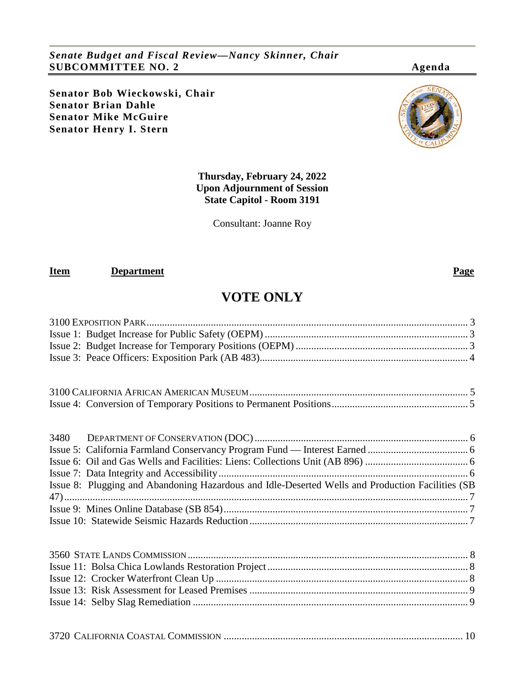*Senate Budget and Fiscal Review—Nancy Skinner, Chair* **SUBCOMMITTEE NO. 2 Agenda**

**Senator Bob Wieckowski, Chair Senator Brian Dahle Senator Mike McGuire Senator Henry I. Stern**



Consultant: Joanne Roy

#### **Item Department Page**

## **VOTE ONLY**

3100 [EXPOSITION PARK.............................................................................................................................](#page-2-0) 3

| Issue 8: Plugging and Abandoning Hazardous and Idle-Deserted Wells and Production Facilities (SB |  |
|--------------------------------------------------------------------------------------------------|--|
|                                                                                                  |  |
|                                                                                                  |  |
|                                                                                                  |  |
|                                                                                                  |  |
|                                                                                                  |  |
|                                                                                                  |  |
|                                                                                                  |  |
|                                                                                                  |  |
|                                                                                                  |  |
|                                                                                                  |  |
|                                                                                                  |  |



#### 3720 CALIFORNIA COASTAL COMMISSION [.............................................................................................](#page-9-0) 10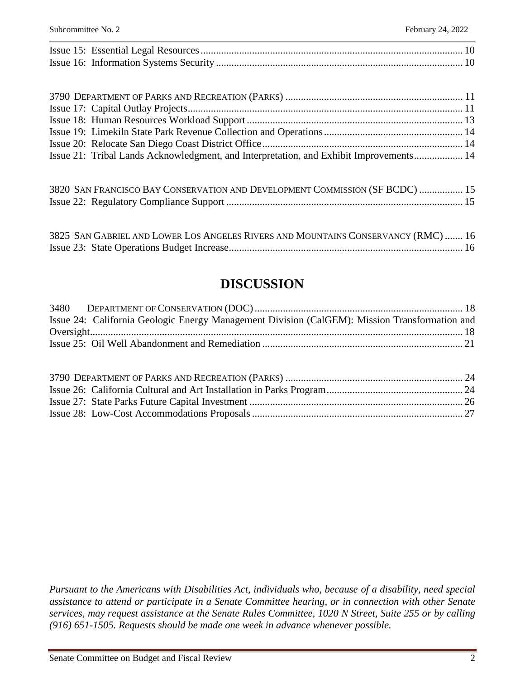| Issue 21: Tribal Lands Acknowledgment, and Interpretation, and Exhibit Improvements 14 |  |
|----------------------------------------------------------------------------------------|--|
|                                                                                        |  |

| 3820 SAN FRANCISCO BAY CONSERVATION AND DEVELOPMENT COMMISSION (SF BCDC)  15 |  |
|------------------------------------------------------------------------------|--|
|                                                                              |  |

| 3825 SAN GABRIEL AND LOWER LOS ANGELES RIVERS AND MOUNTAINS CONSERVANCY (RMC)  16 |  |
|-----------------------------------------------------------------------------------|--|
|                                                                                   |  |

## **DISCUSSION**

| Issue 24: California Geologic Energy Management Division (CalGEM): Mission Transformation and |  |
|-----------------------------------------------------------------------------------------------|--|
|                                                                                               |  |
|                                                                                               |  |

*Pursuant to the Americans with Disabilities Act, individuals who, because of a disability, need special assistance to attend or participate in a Senate Committee hearing, or in connection with other Senate services, may request assistance at the Senate Rules Committee, 1020 N Street, Suite 255 or by calling (916) 651-1505. Requests should be made one week in advance whenever possible.*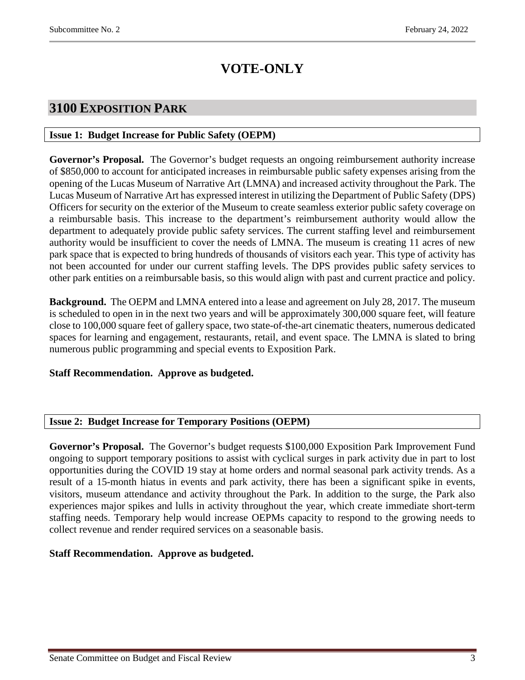# **VOTE-ONLY**

### <span id="page-2-0"></span>**3100 EXPOSITION PARK**

#### <span id="page-2-1"></span>**Issue 1: Budget Increase for Public Safety (OEPM)**

**Governor's Proposal.** The Governor's budget requests an ongoing reimbursement authority increase of \$850,000 to account for anticipated increases in reimbursable public safety expenses arising from the opening of the Lucas Museum of Narrative Art (LMNA) and increased activity throughout the Park. The Lucas Museum of Narrative Art has expressed interest in utilizing the Department of Public Safety (DPS) Officers for security on the exterior of the Museum to create seamless exterior public safety coverage on a reimbursable basis. This increase to the department's reimbursement authority would allow the department to adequately provide public safety services. The current staffing level and reimbursement authority would be insufficient to cover the needs of LMNA. The museum is creating 11 acres of new park space that is expected to bring hundreds of thousands of visitors each year. This type of activity has not been accounted for under our current staffing levels. The DPS provides public safety services to other park entities on a reimbursable basis, so this would align with past and current practice and policy.

**Background.** The OEPM and LMNA entered into a lease and agreement on July 28, 2017. The museum is scheduled to open in in the next two years and will be approximately 300,000 square feet, will feature close to 100,000 square feet of gallery space, two state-of-the-art cinematic theaters, numerous dedicated spaces for learning and engagement, restaurants, retail, and event space. The LMNA is slated to bring numerous public programming and special events to Exposition Park.

#### **Staff Recommendation. Approve as budgeted.**

#### <span id="page-2-2"></span>**Issue 2: Budget Increase for Temporary Positions (OEPM)**

**Governor's Proposal.** The Governor's budget requests \$100,000 Exposition Park Improvement Fund ongoing to support temporary positions to assist with cyclical surges in park activity due in part to lost opportunities during the COVID 19 stay at home orders and normal seasonal park activity trends. As a result of a 15-month hiatus in events and park activity, there has been a significant spike in events, visitors, museum attendance and activity throughout the Park. In addition to the surge, the Park also experiences major spikes and lulls in activity throughout the year, which create immediate short-term staffing needs. Temporary help would increase OEPMs capacity to respond to the growing needs to collect revenue and render required services on a seasonable basis.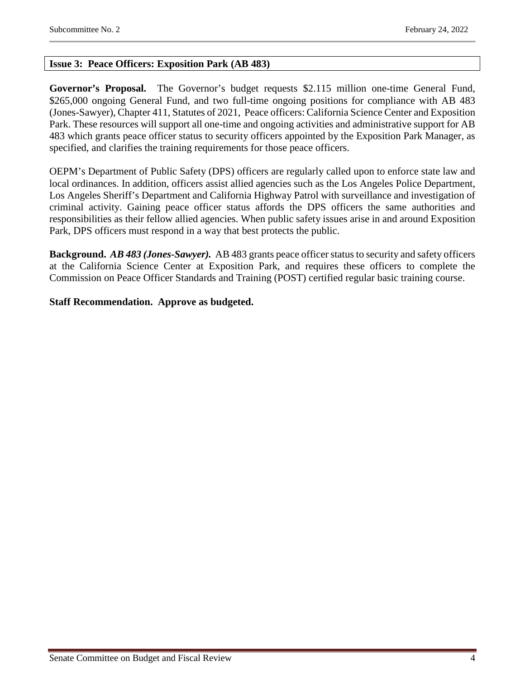#### <span id="page-3-0"></span>**Issue 3: Peace Officers: Exposition Park (AB 483)**

**Governor's Proposal.** The Governor's budget requests \$2.115 million one-time General Fund, \$265,000 ongoing General Fund, and two full-time ongoing positions for compliance with AB 483 (Jones-Sawyer), Chapter 411, Statutes of 2021, Peace officers: California Science Center and Exposition Park. These resources will support all one-time and ongoing activities and administrative support for AB 483 which grants peace officer status to security officers appointed by the Exposition Park Manager, as specified, and clarifies the training requirements for those peace officers.

OEPM's Department of Public Safety (DPS) officers are regularly called upon to enforce state law and local ordinances. In addition, officers assist allied agencies such as the Los Angeles Police Department, Los Angeles Sheriff's Department and California Highway Patrol with surveillance and investigation of criminal activity. Gaining peace officer status affords the DPS officers the same authorities and responsibilities as their fellow allied agencies. When public safety issues arise in and around Exposition Park, DPS officers must respond in a way that best protects the public.

**Background.** *AB 483 (Jones-Sawyer).* AB 483 grants peace officer status to security and safety officers at the California Science Center at Exposition Park, and requires these officers to complete the Commission on Peace Officer Standards and Training (POST) certified regular basic training course.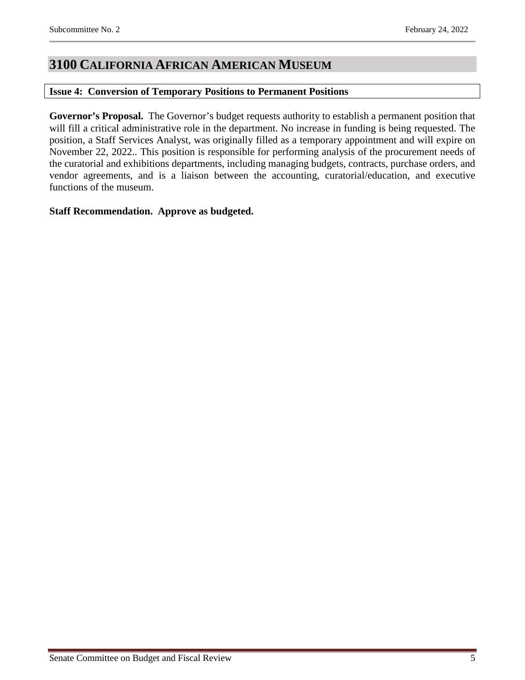### <span id="page-4-0"></span>**3100 CALIFORNIA AFRICAN AMERICAN MUSEUM**

#### <span id="page-4-1"></span>**Issue 4: Conversion of Temporary Positions to Permanent Positions**

**Governor's Proposal.** The Governor's budget requests authority to establish a permanent position that will fill a critical administrative role in the department. No increase in funding is being requested. The position, a Staff Services Analyst, was originally filled as a temporary appointment and will expire on November 22, 2022.. This position is responsible for performing analysis of the procurement needs of the curatorial and exhibitions departments, including managing budgets, contracts, purchase orders, and vendor agreements, and is a liaison between the accounting, curatorial/education, and executive functions of the museum.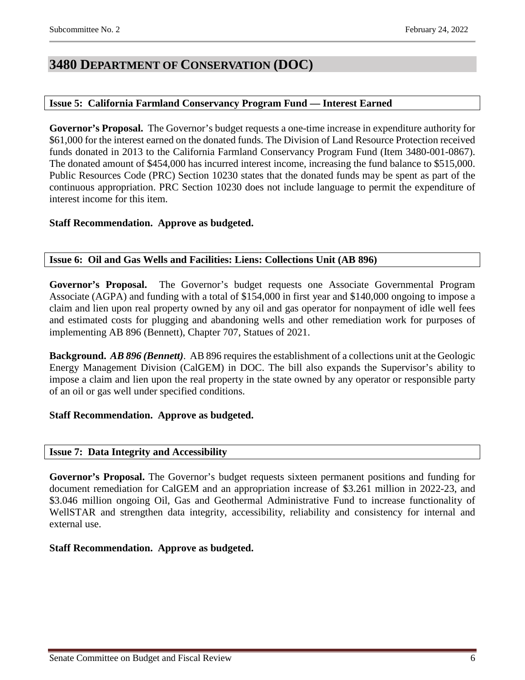### <span id="page-5-0"></span>**3480 DEPARTMENT OF CONSERVATION (DOC)**

#### <span id="page-5-1"></span>**Issue 5: California Farmland Conservancy Program Fund — Interest Earned**

**Governor's Proposal.** The Governor's budget requests a one-time increase in expenditure authority for \$61,000 for the interest earned on the donated funds. The Division of Land Resource Protection received funds donated in 2013 to the California Farmland Conservancy Program Fund (Item 3480-001-0867). The donated amount of \$454,000 has incurred interest income, increasing the fund balance to \$515,000. Public Resources Code (PRC) Section 10230 states that the donated funds may be spent as part of the continuous appropriation. PRC Section 10230 does not include language to permit the expenditure of interest income for this item.

#### **Staff Recommendation. Approve as budgeted.**

#### <span id="page-5-2"></span>**Issue 6: Oil and Gas Wells and Facilities: Liens: Collections Unit (AB 896)**

**Governor's Proposal.** The Governor's budget requests one Associate Governmental Program Associate (AGPA) and funding with a total of \$154,000 in first year and \$140,000 ongoing to impose a claim and lien upon real property owned by any oil and gas operator for nonpayment of idle well fees and estimated costs for plugging and abandoning wells and other remediation work for purposes of implementing AB 896 (Bennett), Chapter 707, Statues of 2021.

**Background.** *AB 896 (Bennett)*. AB 896 requires the establishment of a collections unit at the Geologic Energy Management Division (CalGEM) in DOC. The bill also expands the Supervisor's ability to impose a claim and lien upon the real property in the state owned by any operator or responsible party of an oil or gas well under specified conditions.

#### **Staff Recommendation. Approve as budgeted.**

#### <span id="page-5-3"></span>**Issue 7: Data Integrity and Accessibility**

**Governor's Proposal.** The Governor's budget requests sixteen permanent positions and funding for document remediation for CalGEM and an appropriation increase of \$3.261 million in 2022-23, and \$3.046 million ongoing Oil, Gas and Geothermal Administrative Fund to increase functionality of WellSTAR and strengthen data integrity, accessibility, reliability and consistency for internal and external use.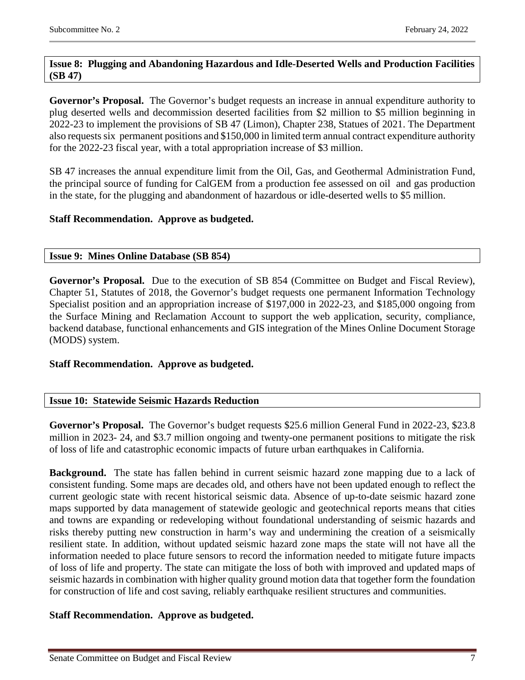#### <span id="page-6-0"></span>**Issue 8: Plugging and Abandoning Hazardous and Idle-Deserted Wells and Production Facilities (SB 47)**

**Governor's Proposal.** The Governor's budget requests an increase in annual expenditure authority to plug deserted wells and decommission deserted facilities from \$2 million to \$5 million beginning in 2022-23 to implement the provisions of SB 47 (Limon), Chapter 238, Statues of 2021. The Department also requests six permanent positions and \$150,000 in limited term annual contract expenditure authority for the 2022-23 fiscal year, with a total appropriation increase of \$3 million.

SB 47 increases the annual expenditure limit from the Oil, Gas, and Geothermal Administration Fund, the principal source of funding for CalGEM from a production fee assessed on oil and gas production in the state, for the plugging and abandonment of hazardous or idle-deserted wells to \$5 million.

#### **Staff Recommendation. Approve as budgeted.**

#### <span id="page-6-1"></span>**Issue 9: Mines Online Database (SB 854)**

Governor's Proposal. Due to the execution of SB 854 (Committee on Budget and Fiscal Review), Chapter 51, Statutes of 2018, the Governor's budget requests one permanent Information Technology Specialist position and an appropriation increase of \$197,000 in 2022-23, and \$185,000 ongoing from the Surface Mining and Reclamation Account to support the web application, security, compliance, backend database, functional enhancements and GIS integration of the Mines Online Document Storage (MODS) system.

#### **Staff Recommendation. Approve as budgeted.**

#### <span id="page-6-2"></span>**Issue 10: Statewide Seismic Hazards Reduction**

**Governor's Proposal.** The Governor's budget requests \$25.6 million General Fund in 2022-23, \$23.8 million in 2023- 24, and \$3.7 million ongoing and twenty-one permanent positions to mitigate the risk of loss of life and catastrophic economic impacts of future urban earthquakes in California.

**Background.** The state has fallen behind in current seismic hazard zone mapping due to a lack of consistent funding. Some maps are decades old, and others have not been updated enough to reflect the current geologic state with recent historical seismic data. Absence of up-to-date seismic hazard zone maps supported by data management of statewide geologic and geotechnical reports means that cities and towns are expanding or redeveloping without foundational understanding of seismic hazards and risks thereby putting new construction in harm's way and undermining the creation of a seismically resilient state. In addition, without updated seismic hazard zone maps the state will not have all the information needed to place future sensors to record the information needed to mitigate future impacts of loss of life and property. The state can mitigate the loss of both with improved and updated maps of seismic hazards in combination with higher quality ground motion data that together form the foundation for construction of life and cost saving, reliably earthquake resilient structures and communities.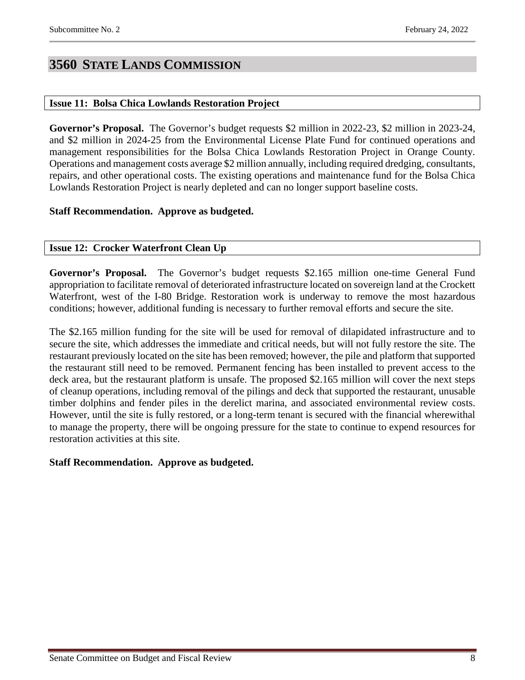## <span id="page-7-0"></span>**3560 STATE LANDS COMMISSION**

#### <span id="page-7-1"></span>**Issue 11: Bolsa Chica Lowlands Restoration Project**

**Governor's Proposal.** The Governor's budget requests \$2 million in 2022-23, \$2 million in 2023-24, and \$2 million in 2024-25 from the Environmental License Plate Fund for continued operations and management responsibilities for the Bolsa Chica Lowlands Restoration Project in Orange County. Operations and management costs average \$2 million annually, including required dredging, consultants, repairs, and other operational costs. The existing operations and maintenance fund for the Bolsa Chica Lowlands Restoration Project is nearly depleted and can no longer support baseline costs.

#### **Staff Recommendation. Approve as budgeted.**

#### <span id="page-7-2"></span>**Issue 12: Crocker Waterfront Clean Up**

**Governor's Proposal.** The Governor's budget requests \$2.165 million one-time General Fund appropriation to facilitate removal of deteriorated infrastructure located on sovereign land at the Crockett Waterfront, west of the I-80 Bridge. Restoration work is underway to remove the most hazardous conditions; however, additional funding is necessary to further removal efforts and secure the site.

The \$2.165 million funding for the site will be used for removal of dilapidated infrastructure and to secure the site, which addresses the immediate and critical needs, but will not fully restore the site. The restaurant previously located on the site has been removed; however, the pile and platform that supported the restaurant still need to be removed. Permanent fencing has been installed to prevent access to the deck area, but the restaurant platform is unsafe. The proposed \$2.165 million will cover the next steps of cleanup operations, including removal of the pilings and deck that supported the restaurant, unusable timber dolphins and fender piles in the derelict marina, and associated environmental review costs. However, until the site is fully restored, or a long-term tenant is secured with the financial wherewithal to manage the property, there will be ongoing pressure for the state to continue to expend resources for restoration activities at this site.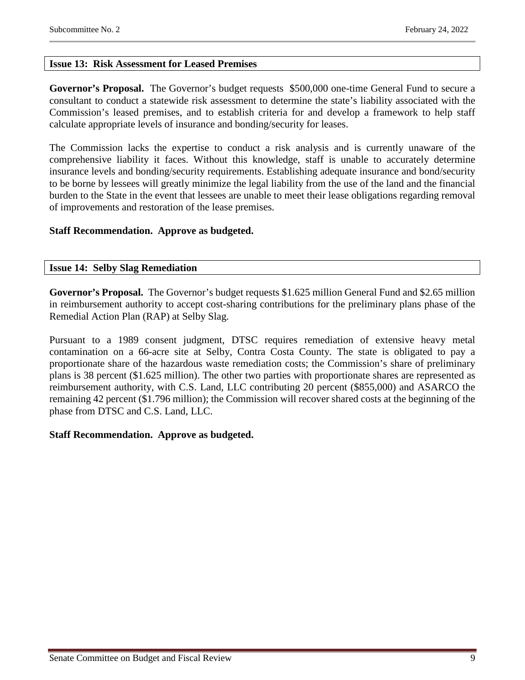#### <span id="page-8-0"></span>**Issue 13: Risk Assessment for Leased Premises**

**Governor's Proposal.** The Governor's budget requests \$500,000 one-time General Fund to secure a consultant to conduct a statewide risk assessment to determine the state's liability associated with the Commission's leased premises, and to establish criteria for and develop a framework to help staff calculate appropriate levels of insurance and bonding/security for leases.

The Commission lacks the expertise to conduct a risk analysis and is currently unaware of the comprehensive liability it faces. Without this knowledge, staff is unable to accurately determine insurance levels and bonding/security requirements. Establishing adequate insurance and bond/security to be borne by lessees will greatly minimize the legal liability from the use of the land and the financial burden to the State in the event that lessees are unable to meet their lease obligations regarding removal of improvements and restoration of the lease premises.

#### **Staff Recommendation. Approve as budgeted.**

#### <span id="page-8-1"></span>**Issue 14: Selby Slag Remediation**

**Governor's Proposal.** The Governor's budget requests \$1.625 million General Fund and \$2.65 million in reimbursement authority to accept cost-sharing contributions for the preliminary plans phase of the Remedial Action Plan (RAP) at Selby Slag.

Pursuant to a 1989 consent judgment, DTSC requires remediation of extensive heavy metal contamination on a 66-acre site at Selby, Contra Costa County. The state is obligated to pay a proportionate share of the hazardous waste remediation costs; the Commission's share of preliminary plans is 38 percent (\$1.625 million). The other two parties with proportionate shares are represented as reimbursement authority, with C.S. Land, LLC contributing 20 percent (\$855,000) and ASARCO the remaining 42 percent (\$1.796 million); the Commission will recover shared costs at the beginning of the phase from DTSC and C.S. Land, LLC.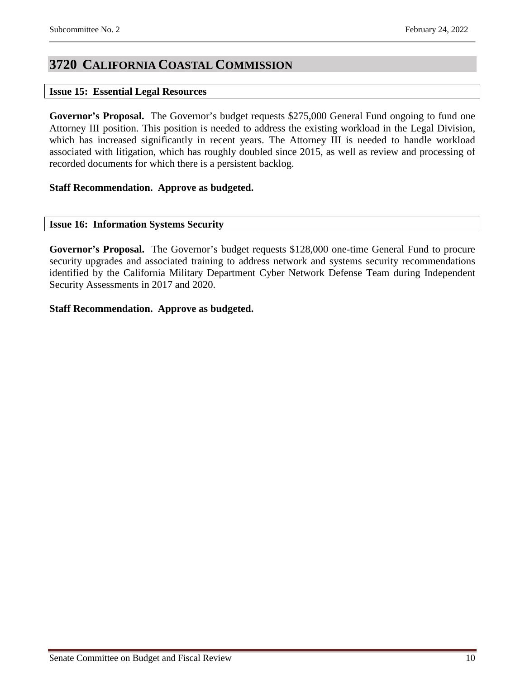## <span id="page-9-0"></span>**3720 CALIFORNIA COASTAL COMMISSION**

#### <span id="page-9-1"></span>**Issue 15: Essential Legal Resources**

**Governor's Proposal.** The Governor's budget requests \$275,000 General Fund ongoing to fund one Attorney III position. This position is needed to address the existing workload in the Legal Division, which has increased significantly in recent years. The Attorney III is needed to handle workload associated with litigation, which has roughly doubled since 2015, as well as review and processing of recorded documents for which there is a persistent backlog.

#### **Staff Recommendation. Approve as budgeted.**

#### <span id="page-9-2"></span>**Issue 16: Information Systems Security**

**Governor's Proposal.** The Governor's budget requests \$128,000 one-time General Fund to procure security upgrades and associated training to address network and systems security recommendations identified by the California Military Department Cyber Network Defense Team during Independent Security Assessments in 2017 and 2020.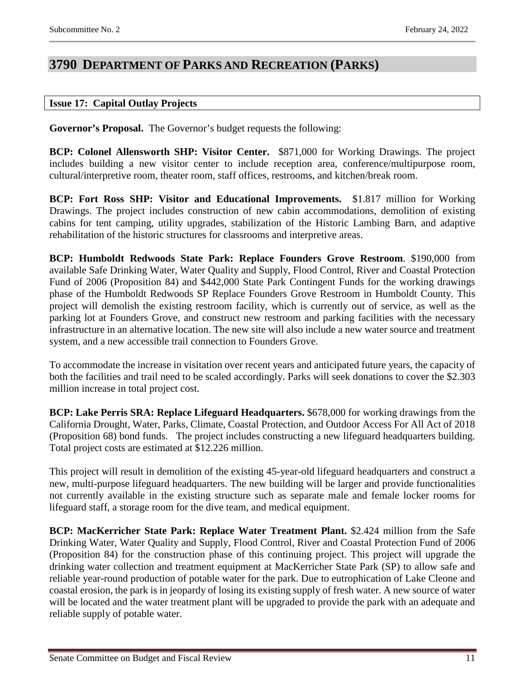### <span id="page-10-0"></span>**3790 DEPARTMENT OF PARKS AND RECREATION (PARKS)**

#### <span id="page-10-1"></span>**Issue 17: Capital Outlay Projects**

**Governor's Proposal.** The Governor's budget requests the following:

**BCP: Colonel Allensworth SHP: Visitor Center.** \$871,000 for Working Drawings. The project includes building a new visitor center to include reception area, conference/multipurpose room, cultural/interpretive room, theater room, staff offices, restrooms, and kitchen/break room.

**BCP: Fort Ross SHP: Visitor and Educational Improvements.** \$1.817 million for Working Drawings. The project includes construction of new cabin accommodations, demolition of existing cabins for tent camping, utility upgrades, stabilization of the Historic Lambing Barn, and adaptive rehabilitation of the historic structures for classrooms and interpretive areas.

**BCP: Humboldt Redwoods State Park: Replace Founders Grove Restroom**. \$190,000 from available Safe Drinking Water, Water Quality and Supply, Flood Control, River and Coastal Protection Fund of 2006 (Proposition 84) and \$442,000 State Park Contingent Funds for the working drawings phase of the Humboldt Redwoods SP Replace Founders Grove Restroom in Humboldt County. This project will demolish the existing restroom facility, which is currently out of service, as well as the parking lot at Founders Grove, and construct new restroom and parking facilities with the necessary infrastructure in an alternative location. The new site will also include a new water source and treatment system, and a new accessible trail connection to Founders Grove.

To accommodate the increase in visitation over recent years and anticipated future years, the capacity of both the facilities and trail need to be scaled accordingly. Parks will seek donations to cover the \$2.303 million increase in total project cost.

**BCP: Lake Perris SRA: Replace Lifeguard Headquarters.** \$678,000 for working drawings from the California Drought, Water, Parks, Climate, Coastal Protection, and Outdoor Access For All Act of 2018 (Proposition 68) bond funds. The project includes constructing a new lifeguard headquarters building. Total project costs are estimated at \$12.226 million.

This project will result in demolition of the existing 45-year-old lifeguard headquarters and construct a new, multi-purpose lifeguard headquarters. The new building will be larger and provide functionalities not currently available in the existing structure such as separate male and female locker rooms for lifeguard staff, a storage room for the dive team, and medical equipment.

**BCP: MacKerricher State Park: Replace Water Treatment Plant.** \$2.424 million from the Safe Drinking Water, Water Quality and Supply, Flood Control, River and Coastal Protection Fund of 2006 (Proposition 84) for the construction phase of this continuing project. This project will upgrade the drinking water collection and treatment equipment at MacKerricher State Park (SP) to allow safe and reliable year-round production of potable water for the park. Due to eutrophication of Lake Cleone and coastal erosion, the park is in jeopardy of losing its existing supply of fresh water. A new source of water will be located and the water treatment plant will be upgraded to provide the park with an adequate and reliable supply of potable water.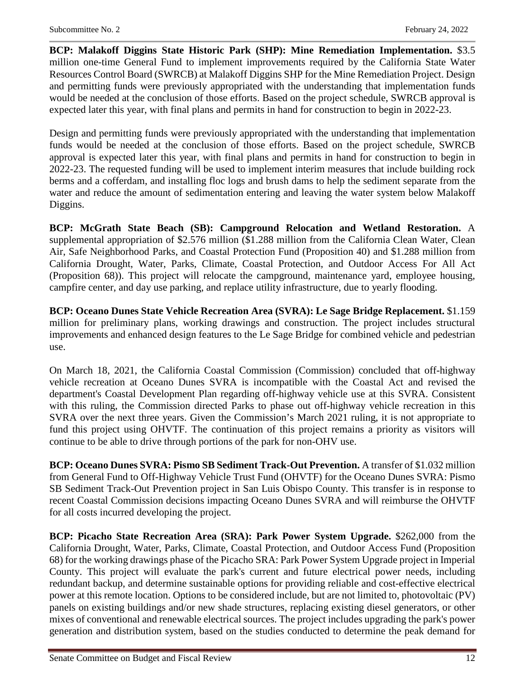**BCP: Malakoff Diggins State Historic Park (SHP): Mine Remediation Implementation.** \$3.5 million one-time General Fund to implement improvements required by the California State Water Resources Control Board (SWRCB) at Malakoff Diggins SHP for the Mine Remediation Project. Design and permitting funds were previously appropriated with the understanding that implementation funds would be needed at the conclusion of those efforts. Based on the project schedule, SWRCB approval is expected later this year, with final plans and permits in hand for construction to begin in 2022-23.

Design and permitting funds were previously appropriated with the understanding that implementation funds would be needed at the conclusion of those efforts. Based on the project schedule, SWRCB approval is expected later this year, with final plans and permits in hand for construction to begin in 2022-23. The requested funding will be used to implement interim measures that include building rock berms and a cofferdam, and installing floc logs and brush dams to help the sediment separate from the water and reduce the amount of sedimentation entering and leaving the water system below Malakoff Diggins.

**BCP: McGrath State Beach (SB): Campground Relocation and Wetland Restoration.** A supplemental appropriation of \$2.576 million (\$1.288 million from the California Clean Water, Clean Air, Safe Neighborhood Parks, and Coastal Protection Fund (Proposition 40) and \$1.288 million from California Drought, Water, Parks, Climate, Coastal Protection, and Outdoor Access For All Act (Proposition 68)). This project will relocate the campground, maintenance yard, employee housing, campfire center, and day use parking, and replace utility infrastructure, due to yearly flooding.

**BCP: Oceano Dunes State Vehicle Recreation Area (SVRA): Le Sage Bridge Replacement.** \$1.159 million for preliminary plans, working drawings and construction. The project includes structural improvements and enhanced design features to the Le Sage Bridge for combined vehicle and pedestrian use.

On March 18, 2021, the California Coastal Commission (Commission) concluded that off-highway vehicle recreation at Oceano Dunes SVRA is incompatible with the Coastal Act and revised the department's Coastal Development Plan regarding off-highway vehicle use at this SVRA. Consistent with this ruling, the Commission directed Parks to phase out off-highway vehicle recreation in this SVRA over the next three years. Given the Commission's March 2021 ruling, it is not appropriate to fund this project using OHVTF. The continuation of this project remains a priority as visitors will continue to be able to drive through portions of the park for non-OHV use.

**BCP: Oceano Dunes SVRA: Pismo SB Sediment Track-Out Prevention.** A transfer of \$1.032 million from General Fund to Off-Highway Vehicle Trust Fund (OHVTF) for the Oceano Dunes SVRA: Pismo SB Sediment Track-Out Prevention project in San Luis Obispo County. This transfer is in response to recent Coastal Commission decisions impacting Oceano Dunes SVRA and will reimburse the OHVTF for all costs incurred developing the project.

**BCP: Picacho State Recreation Area (SRA): Park Power System Upgrade.** \$262,000 from the California Drought, Water, Parks, Climate, Coastal Protection, and Outdoor Access Fund (Proposition 68) for the working drawings phase of the Picacho SRA: Park Power System Upgrade project in Imperial County. This project will evaluate the park's current and future electrical power needs, including redundant backup, and determine sustainable options for providing reliable and cost-effective electrical power at this remote location. Options to be considered include, but are not limited to, photovoltaic (PV) panels on existing buildings and/or new shade structures, replacing existing diesel generators, or other mixes of conventional and renewable electrical sources. The project includes upgrading the park's power generation and distribution system, based on the studies conducted to determine the peak demand for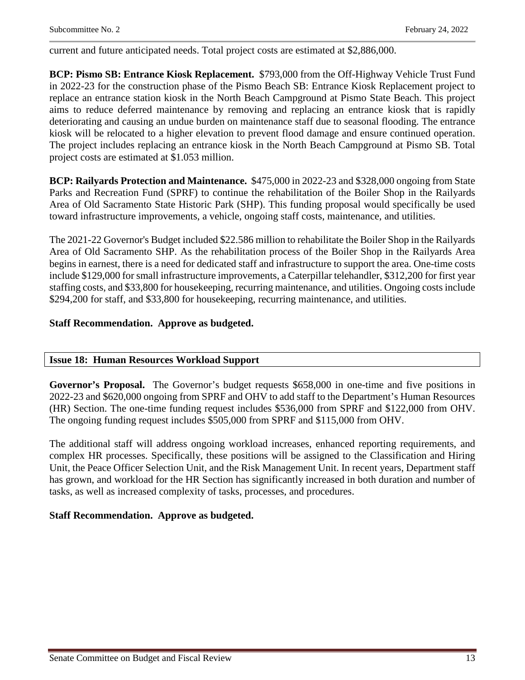current and future anticipated needs. Total project costs are estimated at \$2,886,000.

**BCP: Pismo SB: Entrance Kiosk Replacement.** \$793,000 from the Off-Highway Vehicle Trust Fund in 2022-23 for the construction phase of the Pismo Beach SB: Entrance Kiosk Replacement project to replace an entrance station kiosk in the North Beach Campground at Pismo State Beach. This project aims to reduce deferred maintenance by removing and replacing an entrance kiosk that is rapidly deteriorating and causing an undue burden on maintenance staff due to seasonal flooding. The entrance kiosk will be relocated to a higher elevation to prevent flood damage and ensure continued operation. The project includes replacing an entrance kiosk in the North Beach Campground at Pismo SB. Total project costs are estimated at \$1.053 million.

**BCP: Railyards Protection and Maintenance.** \$475,000 in 2022-23 and \$328,000 ongoing from State Parks and Recreation Fund (SPRF) to continue the rehabilitation of the Boiler Shop in the Railyards Area of Old Sacramento State Historic Park (SHP). This funding proposal would specifically be used toward infrastructure improvements, a vehicle, ongoing staff costs, maintenance, and utilities.

The 2021-22 Governor's Budget included \$22.586 million to rehabilitate the Boiler Shop in the Railyards Area of Old Sacramento SHP. As the rehabilitation process of the Boiler Shop in the Railyards Area begins in earnest, there is a need for dedicated staff and infrastructure to support the area. One-time costs include \$129,000 for small infrastructure improvements, a Caterpillar telehandler, \$312,200 for first year staffing costs, and \$33,800 for housekeeping, recurring maintenance, and utilities. Ongoing costs include \$294,200 for staff, and \$33,800 for housekeeping, recurring maintenance, and utilities.

#### **Staff Recommendation. Approve as budgeted.**

#### <span id="page-12-0"></span>**Issue 18: Human Resources Workload Support**

**Governor's Proposal.** The Governor's budget requests \$658,000 in one-time and five positions in 2022-23 and \$620,000 ongoing from SPRF and OHV to add staff to the Department's Human Resources (HR) Section. The one-time funding request includes \$536,000 from SPRF and \$122,000 from OHV. The ongoing funding request includes \$505,000 from SPRF and \$115,000 from OHV.

The additional staff will address ongoing workload increases, enhanced reporting requirements, and complex HR processes. Specifically, these positions will be assigned to the Classification and Hiring Unit, the Peace Officer Selection Unit, and the Risk Management Unit. In recent years, Department staff has grown, and workload for the HR Section has significantly increased in both duration and number of tasks, as well as increased complexity of tasks, processes, and procedures.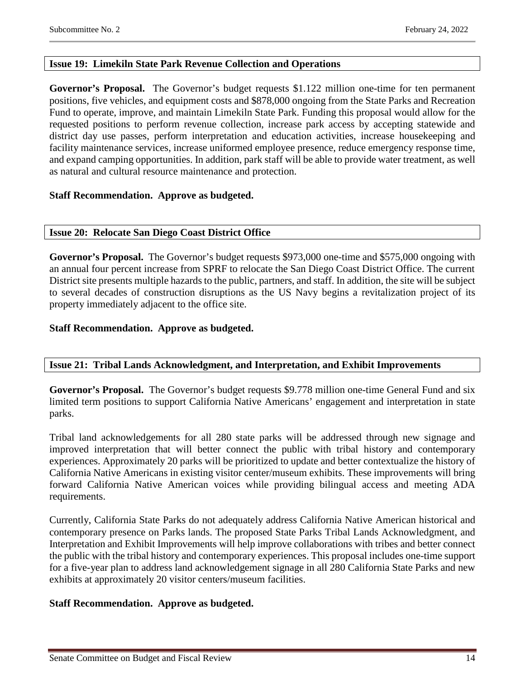#### <span id="page-13-0"></span>**Issue 19: Limekiln State Park Revenue Collection and Operations**

**Governor's Proposal.** The Governor's budget requests \$1.122 million one-time for ten permanent positions, five vehicles, and equipment costs and \$878,000 ongoing from the State Parks and Recreation Fund to operate, improve, and maintain Limekiln State Park. Funding this proposal would allow for the requested positions to perform revenue collection, increase park access by accepting statewide and district day use passes, perform interpretation and education activities, increase housekeeping and facility maintenance services, increase uniformed employee presence, reduce emergency response time, and expand camping opportunities. In addition, park staff will be able to provide water treatment, as well as natural and cultural resource maintenance and protection.

#### **Staff Recommendation. Approve as budgeted.**

#### <span id="page-13-1"></span>**Issue 20: Relocate San Diego Coast District Office**

**Governor's Proposal.** The Governor's budget requests \$973,000 one-time and \$575,000 ongoing with an annual four percent increase from SPRF to relocate the San Diego Coast District Office. The current District site presents multiple hazards to the public, partners, and staff. In addition, the site will be subject to several decades of construction disruptions as the US Navy begins a revitalization project of its property immediately adjacent to the office site.

#### **Staff Recommendation. Approve as budgeted.**

#### <span id="page-13-2"></span>**Issue 21: Tribal Lands Acknowledgment, and Interpretation, and Exhibit Improvements**

**Governor's Proposal.** The Governor's budget requests \$9.778 million one-time General Fund and six limited term positions to support California Native Americans' engagement and interpretation in state parks.

Tribal land acknowledgements for all 280 state parks will be addressed through new signage and improved interpretation that will better connect the public with tribal history and contemporary experiences. Approximately 20 parks will be prioritized to update and better contextualize the history of California Native Americans in existing visitor center/museum exhibits. These improvements will bring forward California Native American voices while providing bilingual access and meeting ADA requirements.

Currently, California State Parks do not adequately address California Native American historical and contemporary presence on Parks lands. The proposed State Parks Tribal Lands Acknowledgment, and Interpretation and Exhibit Improvements will help improve collaborations with tribes and better connect the public with the tribal history and contemporary experiences. This proposal includes one-time support for a five-year plan to address land acknowledgement signage in all 280 California State Parks and new exhibits at approximately 20 visitor centers/museum facilities.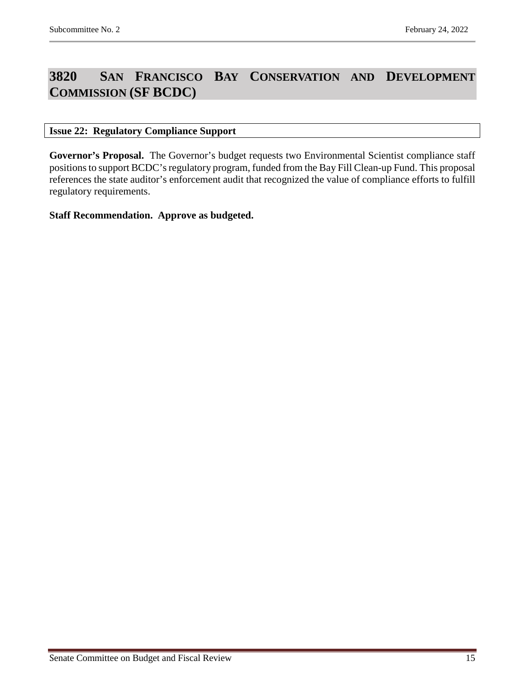## <span id="page-14-0"></span>**3820 SAN FRANCISCO BAY CONSERVATION AND DEVELOPMENT COMMISSION (SF BCDC)**

#### <span id="page-14-1"></span>**Issue 22: Regulatory Compliance Support**

Governor's Proposal. The Governor's budget requests two Environmental Scientist compliance staff positions to support BCDC's regulatory program, funded from the Bay Fill Clean-up Fund. This proposal references the state auditor's enforcement audit that recognized the value of compliance efforts to fulfill regulatory requirements.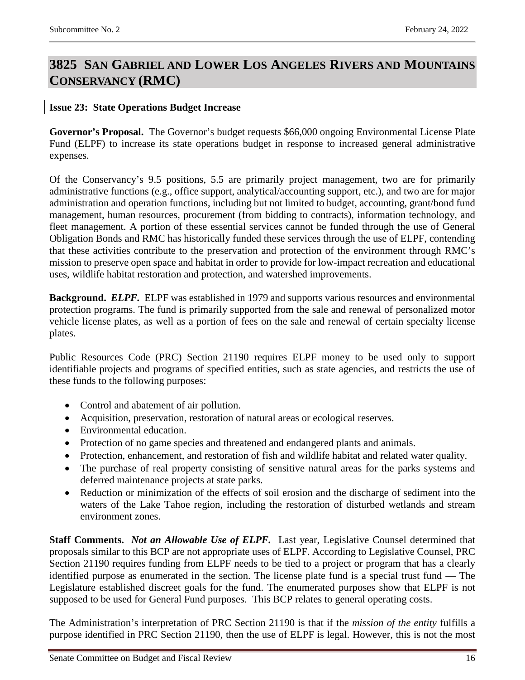## <span id="page-15-0"></span>**3825 SAN GABRIEL AND LOWER LOS ANGELES RIVERS AND MOUNTAINS CONSERVANCY (RMC)**

#### <span id="page-15-1"></span>**Issue 23: State Operations Budget Increase**

**Governor's Proposal.** The Governor's budget requests \$66,000 ongoing Environmental License Plate Fund (ELPF) to increase its state operations budget in response to increased general administrative expenses.

Of the Conservancy's 9.5 positions, 5.5 are primarily project management, two are for primarily administrative functions (e.g., office support, analytical/accounting support, etc.), and two are for major administration and operation functions, including but not limited to budget, accounting, grant/bond fund management, human resources, procurement (from bidding to contracts), information technology, and fleet management. A portion of these essential services cannot be funded through the use of General Obligation Bonds and RMC has historically funded these services through the use of ELPF, contending that these activities contribute to the preservation and protection of the environment through RMC's mission to preserve open space and habitat in order to provide for low-impact recreation and educational uses, wildlife habitat restoration and protection, and watershed improvements.

**Background.** *ELPF.* ELPF was established in 1979 and supports various resources and environmental protection programs. The fund is primarily supported from the sale and renewal of personalized motor vehicle license plates, as well as a portion of fees on the sale and renewal of certain specialty license plates.

Public Resources Code (PRC) Section 21190 requires ELPF money to be used only to support identifiable projects and programs of specified entities, such as state agencies, and restricts the use of these funds to the following purposes:

- Control and abatement of air pollution.
- Acquisition, preservation, restoration of natural areas or ecological reserves.
- Environmental education.
- Protection of no game species and threatened and endangered plants and animals.
- Protection, enhancement, and restoration of fish and wildlife habitat and related water quality.
- The purchase of real property consisting of sensitive natural areas for the parks systems and deferred maintenance projects at state parks.
- Reduction or minimization of the effects of soil erosion and the discharge of sediment into the waters of the Lake Tahoe region, including the restoration of disturbed wetlands and stream environment zones.

**Staff Comments.** *Not an Allowable Use of ELPF.* Last year, Legislative Counsel determined that proposals similar to this BCP are not appropriate uses of ELPF. According to Legislative Counsel, PRC Section 21190 requires funding from ELPF needs to be tied to a project or program that has a clearly identified purpose as enumerated in the section. The license plate fund is a special trust fund — The Legislature established discreet goals for the fund. The enumerated purposes show that ELPF is not supposed to be used for General Fund purposes. This BCP relates to general operating costs.

The Administration's interpretation of PRC Section 21190 is that if the *mission of the entity* fulfills a purpose identified in PRC Section 21190, then the use of ELPF is legal. However, this is not the most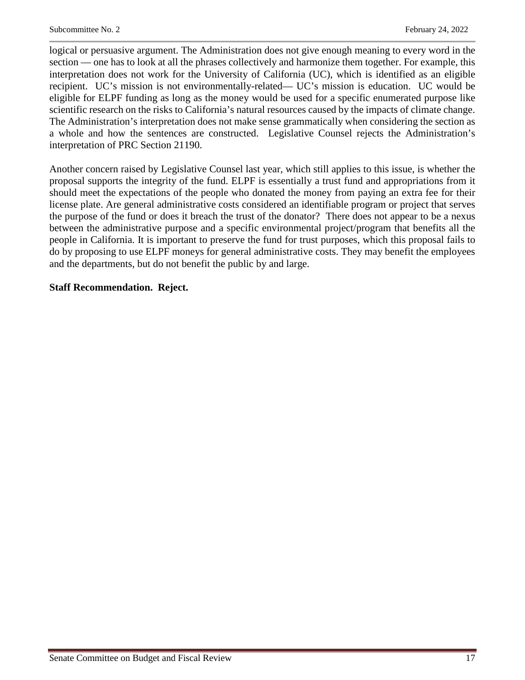logical or persuasive argument. The Administration does not give enough meaning to every word in the section — one has to look at all the phrases collectively and harmonize them together. For example, this interpretation does not work for the University of California (UC), which is identified as an eligible recipient. UC's mission is not environmentally-related— UC's mission is education. UC would be eligible for ELPF funding as long as the money would be used for a specific enumerated purpose like scientific research on the risks to California's natural resources caused by the impacts of climate change. The Administration's interpretation does not make sense grammatically when considering the section as a whole and how the sentences are constructed. Legislative Counsel rejects the Administration's interpretation of PRC Section 21190.

Another concern raised by Legislative Counsel last year, which still applies to this issue, is whether the proposal supports the integrity of the fund. ELPF is essentially a trust fund and appropriations from it should meet the expectations of the people who donated the money from paying an extra fee for their license plate. Are general administrative costs considered an identifiable program or project that serves the purpose of the fund or does it breach the trust of the donator? There does not appear to be a nexus between the administrative purpose and a specific environmental project/program that benefits all the people in California. It is important to preserve the fund for trust purposes, which this proposal fails to do by proposing to use ELPF moneys for general administrative costs. They may benefit the employees and the departments, but do not benefit the public by and large.

#### **Staff Recommendation. Reject.**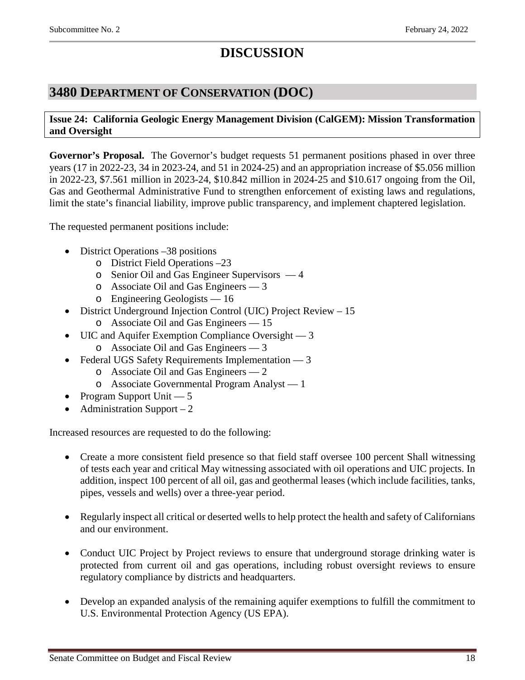# **DISCUSSION**

### <span id="page-17-0"></span>**3480 DEPARTMENT OF CONSERVATION (DOC)**

#### <span id="page-17-1"></span>**Issue 24: California Geologic Energy Management Division (CalGEM): Mission Transformation and Oversight**

**Governor's Proposal.** The Governor's budget requests 51 permanent positions phased in over three years (17 in 2022-23, 34 in 2023-24, and 51 in 2024-25) and an appropriation increase of \$5.056 million in 2022-23, \$7.561 million in 2023-24, \$10.842 million in 2024-25 and \$10.617 ongoing from the Oil, Gas and Geothermal Administrative Fund to strengthen enforcement of existing laws and regulations, limit the state's financial liability, improve public transparency, and implement chaptered legislation.

The requested permanent positions include:

- District Operations –38 positions
	- o District Field Operations –23
	- o Senior Oil and Gas Engineer Supervisors 4
	- o Associate Oil and Gas Engineers 3
	- o Engineering Geologists 16
- District Underground Injection Control (UIC) Project Review 15
	- o Associate Oil and Gas Engineers 15
- UIC and Aquifer Exemption Compliance Oversight 3
	- o Associate Oil and Gas Engineers 3
- Federal UGS Safety Requirements Implementation 3
	- o Associate Oil and Gas Engineers 2
	- o Associate Governmental Program Analyst 1
- Program Support Unit 5
- Administration Support  $-2$

Increased resources are requested to do the following:

- Create a more consistent field presence so that field staff oversee 100 percent Shall witnessing of tests each year and critical May witnessing associated with oil operations and UIC projects. In addition, inspect 100 percent of all oil, gas and geothermal leases (which include facilities, tanks, pipes, vessels and wells) over a three-year period.
- Regularly inspect all critical or deserted wells to help protect the health and safety of Californians and our environment.
- Conduct UIC Project by Project reviews to ensure that underground storage drinking water is protected from current oil and gas operations, including robust oversight reviews to ensure regulatory compliance by districts and headquarters.
- Develop an expanded analysis of the remaining aquifer exemptions to fulfill the commitment to U.S. Environmental Protection Agency (US EPA).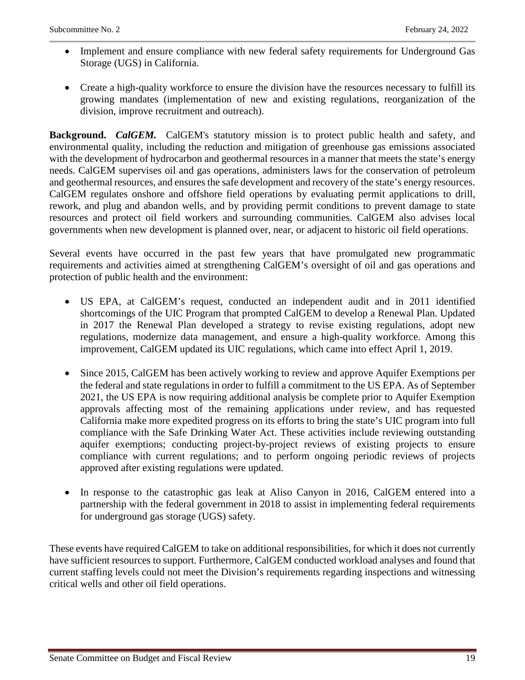- Implement and ensure compliance with new federal safety requirements for Underground Gas Storage (UGS) in California.
- Create a high-quality workforce to ensure the division have the resources necessary to fulfill its growing mandates (implementation of new and existing regulations, reorganization of the division, improve recruitment and outreach).

**Background.** *CalGEM.* CalGEM's statutory mission is to protect public health and safety, and environmental quality, including the reduction and mitigation of greenhouse gas emissions associated with the development of hydrocarbon and geothermal resources in a manner that meets the state's energy needs. CalGEM supervises oil and gas operations, administers laws for the conservation of petroleum and geothermal resources, and ensures the safe development and recovery of the state's energy resources. CalGEM regulates onshore and offshore field operations by evaluating permit applications to drill, rework, and plug and abandon wells, and by providing permit conditions to prevent damage to state resources and protect oil field workers and surrounding communities. CalGEM also advises local governments when new development is planned over, near, or adjacent to historic oil field operations.

Several events have occurred in the past few years that have promulgated new programmatic requirements and activities aimed at strengthening CalGEM's oversight of oil and gas operations and protection of public health and the environment:

- US EPA, at CalGEM's request, conducted an independent audit and in 2011 identified shortcomings of the UIC Program that prompted CalGEM to develop a Renewal Plan. Updated in 2017 the Renewal Plan developed a strategy to revise existing regulations, adopt new regulations, modernize data management, and ensure a high-quality workforce. Among this improvement, CalGEM updated its UIC regulations, which came into effect April 1, 2019.
- Since 2015, CalGEM has been actively working to review and approve Aquifer Exemptions per the federal and state regulations in order to fulfill a commitment to the US EPA. As of September 2021, the US EPA is now requiring additional analysis be complete prior to Aquifer Exemption approvals affecting most of the remaining applications under review, and has requested California make more expedited progress on its efforts to bring the state's UIC program into full compliance with the Safe Drinking Water Act. These activities include reviewing outstanding aquifer exemptions; conducting project-by-project reviews of existing projects to ensure compliance with current regulations; and to perform ongoing periodic reviews of projects approved after existing regulations were updated.
- In response to the catastrophic gas leak at Aliso Canyon in 2016, CalGEM entered into a partnership with the federal government in 2018 to assist in implementing federal requirements for underground gas storage (UGS) safety.

These events have required CalGEM to take on additional responsibilities, for which it does not currently have sufficient resources to support. Furthermore, CalGEM conducted workload analyses and found that current staffing levels could not meet the Division's requirements regarding inspections and witnessing critical wells and other oil field operations.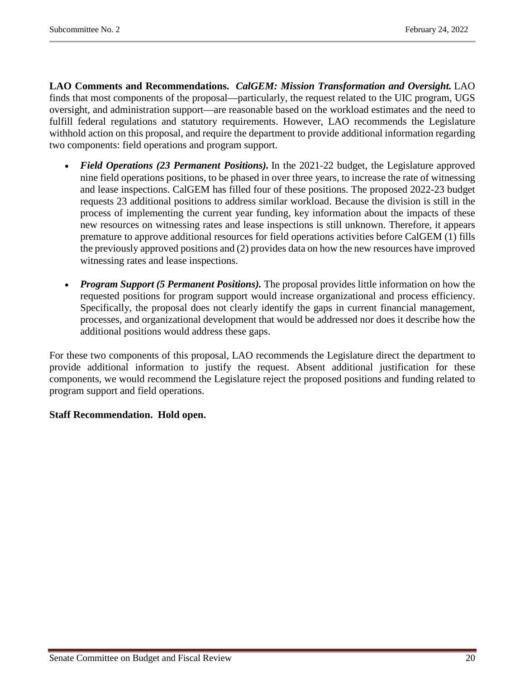**LAO Comments and Recommendations.** *CalGEM: Mission Transformation and Oversight.* LAO finds that most components of the proposal—particularly, the request related to the UIC program, UGS oversight, and administration support—are reasonable based on the workload estimates and the need to fulfill federal regulations and statutory requirements. However, LAO recommends the Legislature withhold action on this proposal, and require the department to provide additional information regarding two components: field operations and program support.

- *Field Operations (23 Permanent Positions).* In the 2021-22 budget, the Legislature approved nine field operations positions, to be phased in over three years, to increase the rate of witnessing and lease inspections. CalGEM has filled four of these positions. The proposed 2022-23 budget requests 23 additional positions to address similar workload. Because the division is still in the process of implementing the current year funding, key information about the impacts of these new resources on witnessing rates and lease inspections is still unknown. Therefore, it appears premature to approve additional resources for field operations activities before CalGEM (1) fills the previously approved positions and (2) provides data on how the new resources have improved witnessing rates and lease inspections.
- *Program Support (5 Permanent Positions)*. The proposal provides little information on how the requested positions for program support would increase organizational and process efficiency. Specifically, the proposal does not clearly identify the gaps in current financial management, processes, and organizational development that would be addressed nor does it describe how the additional positions would address these gaps.

For these two components of this proposal, LAO recommends the Legislature direct the department to provide additional information to justify the request. Absent additional justification for these components, we would recommend the Legislature reject the proposed positions and funding related to program support and field operations.

#### **Staff Recommendation. Hold open.**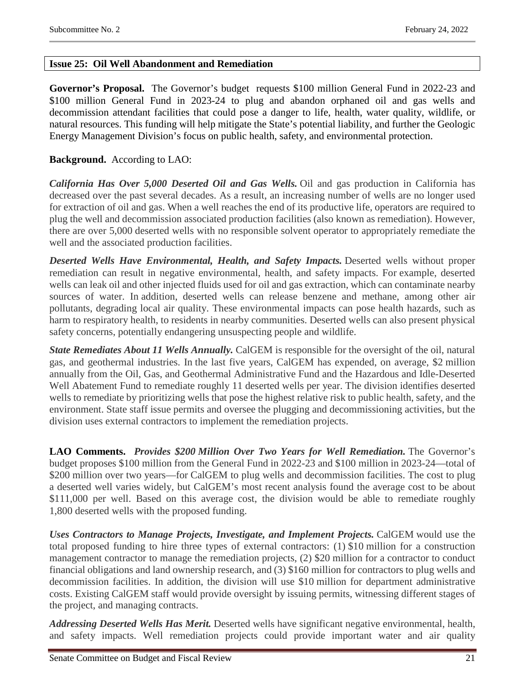#### <span id="page-20-0"></span>**Issue 25: Oil Well Abandonment and Remediation**

**Governor's Proposal.** The Governor's budget requests \$100 million General Fund in 2022-23 and \$100 million General Fund in 2023-24 to plug and abandon orphaned oil and gas wells and decommission attendant facilities that could pose a danger to life, health, water quality, wildlife, or natural resources. This funding will help mitigate the State's potential liability, and further the Geologic Energy Management Division's focus on public health, safety, and environmental protection.

#### **Background.** According to LAO:

*California Has Over 5,000 Deserted Oil and Gas Wells.* Oil and gas production in California has decreased over the past several decades. As a result, an increasing number of wells are no longer used for extraction of oil and gas. When a well reaches the end of its productive life, operators are required to plug the well and decommission associated production facilities (also known as remediation). However, there are over 5,000 deserted wells with no responsible solvent operator to appropriately remediate the well and the associated production facilities.

*Deserted Wells Have Environmental, Health, and Safety Impacts.* Deserted wells without proper remediation can result in negative environmental, health, and safety impacts. For example, deserted wells can leak oil and other injected fluids used for oil and gas extraction, which can contaminate nearby sources of water. In addition, deserted wells can release benzene and methane, among other air pollutants, degrading local air quality. These environmental impacts can pose health hazards, such as harm to respiratory health, to residents in nearby communities. Deserted wells can also present physical safety concerns, potentially endangering unsuspecting people and wildlife.

*State Remediates About 11 Wells Annually.* CalGEM is responsible for the oversight of the oil, natural gas, and geothermal industries. In the last five years, CalGEM has expended, on average, \$2 million annually from the Oil, Gas, and Geothermal Administrative Fund and the Hazardous and Idle-Deserted Well Abatement Fund to remediate roughly 11 deserted wells per year. The division identifies deserted wells to remediate by prioritizing wells that pose the highest relative risk to public health, safety, and the environment. State staff issue permits and oversee the plugging and decommissioning activities, but the division uses external contractors to implement the remediation projects.

**LAO Comments.** *Provides \$200 Million Over Two Years for Well Remediation.* The Governor's budget proposes \$100 million from the General Fund in 2022-23 and \$100 million in 2023-24—total of \$200 million over two years—for CalGEM to plug wells and decommission facilities. The cost to plug a deserted well varies widely, but CalGEM's most recent analysis found the average cost to be about \$111,000 per well. Based on this average cost, the division would be able to remediate roughly 1,800 deserted wells with the proposed funding.

*Uses Contractors to Manage Projects, Investigate, and Implement Projects.* CalGEM would use the total proposed funding to hire three types of external contractors: (1) \$10 million for a construction management contractor to manage the remediation projects, (2) \$20 million for a contractor to conduct financial obligations and land ownership research, and (3) \$160 million for contractors to plug wells and decommission facilities. In addition, the division will use \$10 million for department administrative costs. Existing CalGEM staff would provide oversight by issuing permits, witnessing different stages of the project, and managing contracts.

*Addressing Deserted Wells Has Merit.* Deserted wells have significant negative environmental, health, and safety impacts. Well remediation projects could provide important water and air quality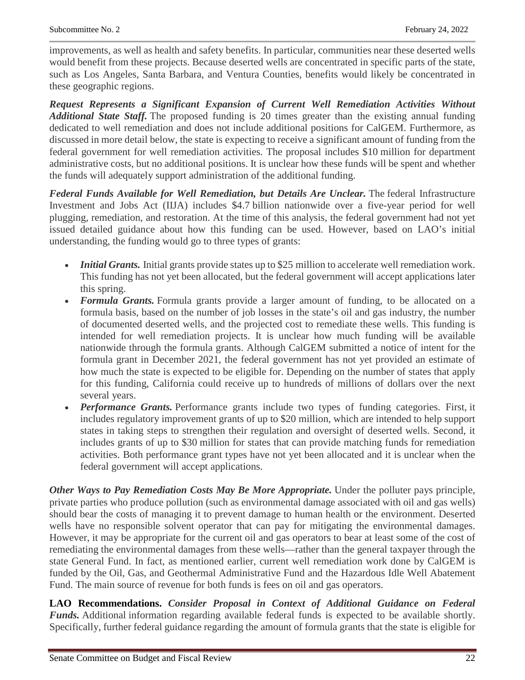improvements, as well as health and safety benefits. In particular, communities near these deserted wells would benefit from these projects. Because deserted wells are concentrated in specific parts of the state, such as Los Angeles, Santa Barbara, and Ventura Counties, benefits would likely be concentrated in these geographic regions.

*Request Represents a Significant Expansion of Current Well Remediation Activities Without Additional State Staff.* The proposed funding is 20 times greater than the existing annual funding dedicated to well remediation and does not include additional positions for CalGEM. Furthermore, as discussed in more detail below, the state is expecting to receive a significant amount of funding from the federal government for well remediation activities. The proposal includes \$10 million for department administrative costs, but no additional positions. It is unclear how these funds will be spent and whether the funds will adequately support administration of the additional funding.

*Federal Funds Available for Well Remediation, but Details Are Unclear.* The federal Infrastructure Investment and Jobs Act (IIJA) includes \$4.7 billion nationwide over a five-year period for well plugging, remediation, and restoration. At the time of this analysis, the federal government had not yet issued detailed guidance about how this funding can be used. However, based on LAO's initial understanding, the funding would go to three types of grants:

- *Initial Grants.* Initial grants provide states up to \$25 million to accelerate well remediation work. This funding has not yet been allocated, but the federal government will accept applications later this spring.
- *Formula Grants*. Formula grants provide a larger amount of funding, to be allocated on a formula basis, based on the number of job losses in the state's oil and gas industry, the number of documented deserted wells, and the projected cost to remediate these wells. This funding is intended for well remediation projects. It is unclear how much funding will be available nationwide through the formula grants. Although CalGEM submitted a notice of intent for the formula grant in December 2021, the federal government has not yet provided an estimate of how much the state is expected to be eligible for. Depending on the number of states that apply for this funding, California could receive up to hundreds of millions of dollars over the next several years.
- *Performance Grants*. Performance grants include two types of funding categories. First, it includes regulatory improvement grants of up to \$20 million, which are intended to help support states in taking steps to strengthen their regulation and oversight of deserted wells. Second, it includes grants of up to \$30 million for states that can provide matching funds for remediation activities. Both performance grant types have not yet been allocated and it is unclear when the federal government will accept applications.

*Other Ways to Pay Remediation Costs May Be More Appropriate.* Under the polluter pays principle, private parties who produce pollution (such as environmental damage associated with oil and gas wells) should bear the costs of managing it to prevent damage to human health or the environment. Deserted wells have no responsible solvent operator that can pay for mitigating the environmental damages. However, it may be appropriate for the current oil and gas operators to bear at least some of the cost of remediating the environmental damages from these wells—rather than the general taxpayer through the state General Fund. In fact, as mentioned earlier, current well remediation work done by CalGEM is funded by the Oil, Gas, and Geothermal Administrative Fund and the Hazardous Idle Well Abatement Fund. The main source of revenue for both funds is fees on oil and gas operators.

**LAO Recommendations.** *Consider Proposal in Context of Additional Guidance on Federal Funds.* Additional information regarding available federal funds is expected to be available shortly. Specifically, further federal guidance regarding the amount of formula grants that the state is eligible for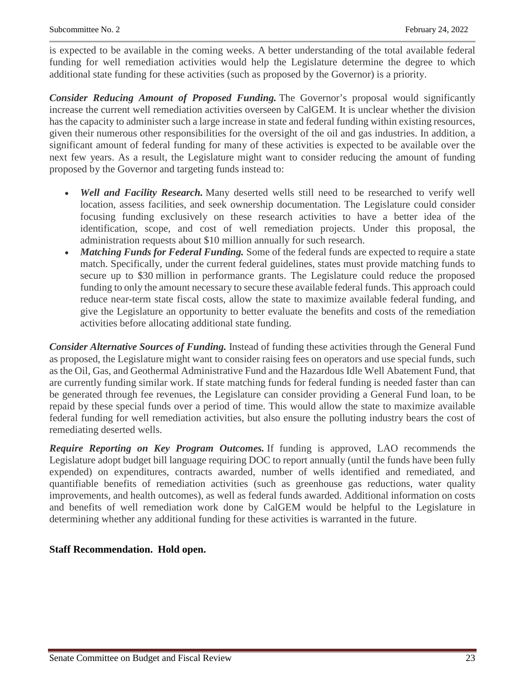is expected to be available in the coming weeks. A better understanding of the total available federal funding for well remediation activities would help the Legislature determine the degree to which additional state funding for these activities (such as proposed by the Governor) is a priority.

*Consider Reducing Amount of Proposed Funding.* The Governor's proposal would significantly increase the current well remediation activities overseen by CalGEM. It is unclear whether the division has the capacity to administer such a large increase in state and federal funding within existing resources, given their numerous other responsibilities for the oversight of the oil and gas industries. In addition, a significant amount of federal funding for many of these activities is expected to be available over the next few years. As a result, the Legislature might want to consider reducing the amount of funding proposed by the Governor and targeting funds instead to:

- *Well and Facility Research.* Many deserted wells still need to be researched to verify well location, assess facilities, and seek ownership documentation. The Legislature could consider focusing funding exclusively on these research activities to have a better idea of the identification, scope, and cost of well remediation projects. Under this proposal, the administration requests about \$10 million annually for such research.
- *Matching Funds for Federal Funding.* Some of the federal funds are expected to require a state match. Specifically, under the current federal guidelines, states must provide matching funds to secure up to \$30 million in performance grants. The Legislature could reduce the proposed funding to only the amount necessary to secure these available federal funds. This approach could reduce near-term state fiscal costs, allow the state to maximize available federal funding, and give the Legislature an opportunity to better evaluate the benefits and costs of the remediation activities before allocating additional state funding.

*Consider Alternative Sources of Funding.* Instead of funding these activities through the General Fund as proposed, the Legislature might want to consider raising fees on operators and use special funds, such as the Oil, Gas, and Geothermal Administrative Fund and the Hazardous Idle Well Abatement Fund, that are currently funding similar work. If state matching funds for federal funding is needed faster than can be generated through fee revenues, the Legislature can consider providing a General Fund loan, to be repaid by these special funds over a period of time. This would allow the state to maximize available federal funding for well remediation activities, but also ensure the polluting industry bears the cost of remediating deserted wells.

*Require Reporting on Key Program Outcomes.* If funding is approved, LAO recommends the Legislature adopt budget bill language requiring DOC to report annually (until the funds have been fully expended) on expenditures, contracts awarded, number of wells identified and remediated, and quantifiable benefits of remediation activities (such as greenhouse gas reductions, water quality improvements, and health outcomes), as well as federal funds awarded. Additional information on costs and benefits of well remediation work done by CalGEM would be helpful to the Legislature in determining whether any additional funding for these activities is warranted in the future.

#### **Staff Recommendation. Hold open.**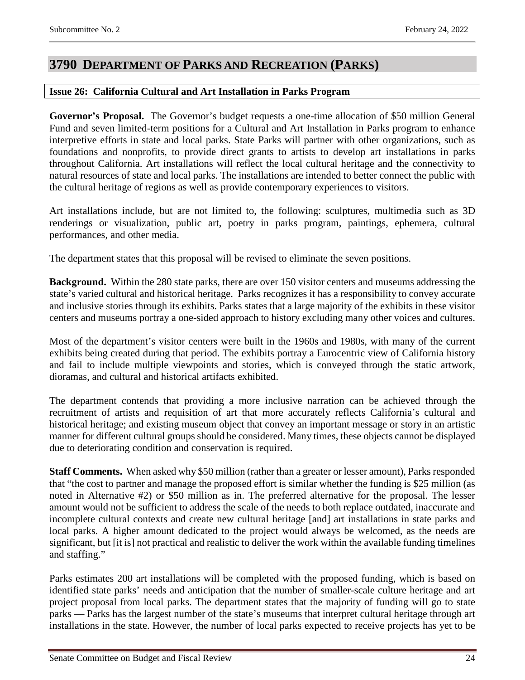### <span id="page-23-0"></span>**3790 DEPARTMENT OF PARKS AND RECREATION (PARKS)**

#### <span id="page-23-1"></span>**Issue 26: California Cultural and Art Installation in Parks Program**

**Governor's Proposal.** The Governor's budget requests a one-time allocation of \$50 million General Fund and seven limited-term positions for a Cultural and Art Installation in Parks program to enhance interpretive efforts in state and local parks. State Parks will partner with other organizations, such as foundations and nonprofits, to provide direct grants to artists to develop art installations in parks throughout California. Art installations will reflect the local cultural heritage and the connectivity to natural resources of state and local parks. The installations are intended to better connect the public with the cultural heritage of regions as well as provide contemporary experiences to visitors.

Art installations include, but are not limited to, the following: sculptures, multimedia such as 3D renderings or visualization, public art, poetry in parks program, paintings, ephemera, cultural performances, and other media.

The department states that this proposal will be revised to eliminate the seven positions.

**Background.** Within the 280 state parks, there are over 150 visitor centers and museums addressing the state's varied cultural and historical heritage. Parks recognizes it has a responsibility to convey accurate and inclusive stories through its exhibits. Parks states that a large majority of the exhibits in these visitor centers and museums portray a one-sided approach to history excluding many other voices and cultures.

Most of the department's visitor centers were built in the 1960s and 1980s, with many of the current exhibits being created during that period. The exhibits portray a Eurocentric view of California history and fail to include multiple viewpoints and stories, which is conveyed through the static artwork, dioramas, and cultural and historical artifacts exhibited.

The department contends that providing a more inclusive narration can be achieved through the recruitment of artists and requisition of art that more accurately reflects California's cultural and historical heritage; and existing museum object that convey an important message or story in an artistic manner for different cultural groups should be considered. Many times, these objects cannot be displayed due to deteriorating condition and conservation is required.

**Staff Comments.** When asked why \$50 million (rather than a greater or lesser amount), Parks responded that "the cost to partner and manage the proposed effort is similar whether the funding is \$25 million (as noted in Alternative #2) or \$50 million as in. The preferred alternative for the proposal. The lesser amount would not be sufficient to address the scale of the needs to both replace outdated, inaccurate and incomplete cultural contexts and create new cultural heritage [and] art installations in state parks and local parks. A higher amount dedicated to the project would always be welcomed, as the needs are significant, but [it is] not practical and realistic to deliver the work within the available funding timelines and staffing."

Parks estimates 200 art installations will be completed with the proposed funding, which is based on identified state parks' needs and anticipation that the number of smaller-scale culture heritage and art project proposal from local parks. The department states that the majority of funding will go to state parks — Parks has the largest number of the state's museums that interpret cultural heritage through art installations in the state. However, the number of local parks expected to receive projects has yet to be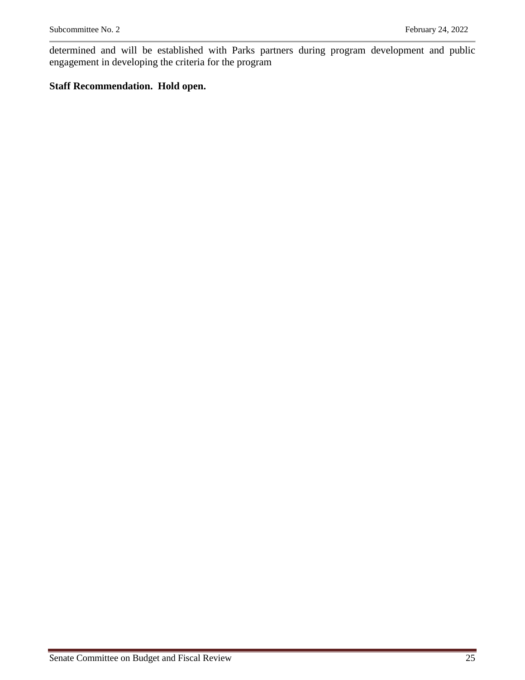determined and will be established with Parks partners during program development and public engagement in developing the criteria for the program

#### **Staff Recommendation. Hold open.**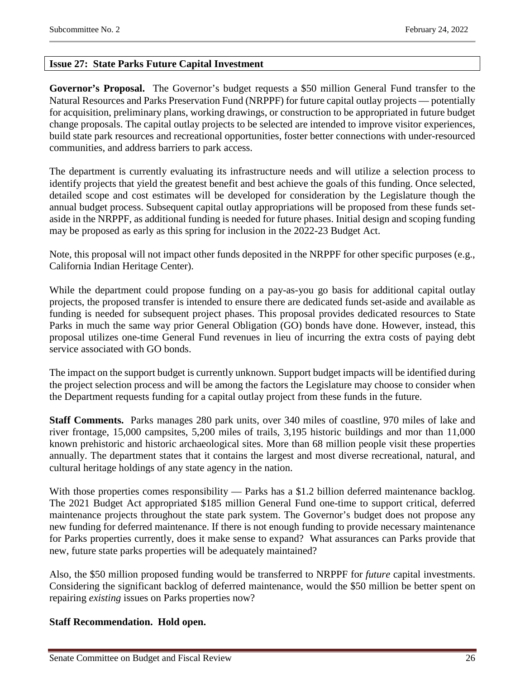#### <span id="page-25-0"></span>**Issue 27: State Parks Future Capital Investment**

**Governor's Proposal.** The Governor's budget requests a \$50 million General Fund transfer to the Natural Resources and Parks Preservation Fund (NRPPF) for future capital outlay projects — potentially for acquisition, preliminary plans, working drawings, or construction to be appropriated in future budget change proposals. The capital outlay projects to be selected are intended to improve visitor experiences, build state park resources and recreational opportunities, foster better connections with under-resourced communities, and address barriers to park access.

The department is currently evaluating its infrastructure needs and will utilize a selection process to identify projects that yield the greatest benefit and best achieve the goals of this funding. Once selected, detailed scope and cost estimates will be developed for consideration by the Legislature though the annual budget process. Subsequent capital outlay appropriations will be proposed from these funds setaside in the NRPPF, as additional funding is needed for future phases. Initial design and scoping funding may be proposed as early as this spring for inclusion in the 2022-23 Budget Act.

Note, this proposal will not impact other funds deposited in the NRPPF for other specific purposes (e.g., California Indian Heritage Center).

While the department could propose funding on a pay-as-you go basis for additional capital outlay projects, the proposed transfer is intended to ensure there are dedicated funds set-aside and available as funding is needed for subsequent project phases. This proposal provides dedicated resources to State Parks in much the same way prior General Obligation (GO) bonds have done. However, instead, this proposal utilizes one-time General Fund revenues in lieu of incurring the extra costs of paying debt service associated with GO bonds.

The impact on the support budget is currently unknown. Support budget impacts will be identified during the project selection process and will be among the factors the Legislature may choose to consider when the Department requests funding for a capital outlay project from these funds in the future.

**Staff Comments.** Parks manages 280 park units, over 340 miles of coastline, 970 miles of lake and river frontage, 15,000 campsites, 5,200 miles of trails, 3,195 historic buildings and mor than 11,000 known prehistoric and historic archaeological sites. More than 68 million people visit these properties annually. The department states that it contains the largest and most diverse recreational, natural, and cultural heritage holdings of any state agency in the nation.

With those properties comes responsibility — Parks has a \$1.2 billion deferred maintenance backlog. The 2021 Budget Act appropriated \$185 million General Fund one-time to support critical, deferred maintenance projects throughout the state park system. The Governor's budget does not propose any new funding for deferred maintenance. If there is not enough funding to provide necessary maintenance for Parks properties currently, does it make sense to expand? What assurances can Parks provide that new, future state parks properties will be adequately maintained?

Also, the \$50 million proposed funding would be transferred to NRPPF for *future* capital investments. Considering the significant backlog of deferred maintenance, would the \$50 million be better spent on repairing *existing* issues on Parks properties now?

#### **Staff Recommendation. Hold open.**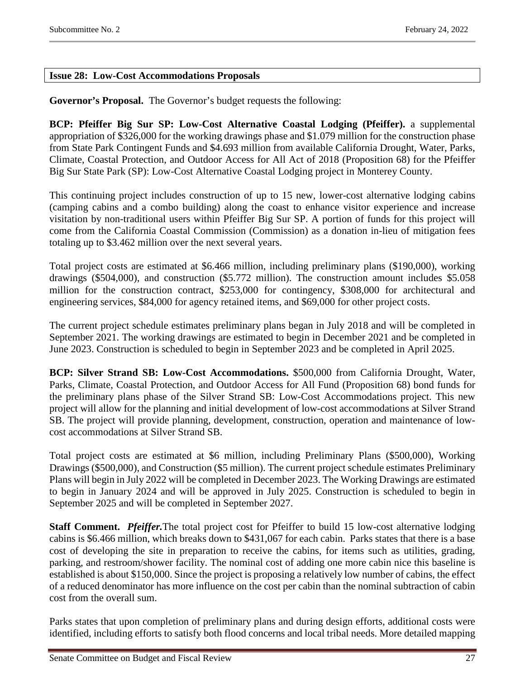#### <span id="page-26-0"></span>**Issue 28: Low-Cost Accommodations Proposals**

**Governor's Proposal.** The Governor's budget requests the following:

**BCP: Pfeiffer Big Sur SP: Low-Cost Alternative Coastal Lodging (Pfeiffer).** a supplemental appropriation of \$326,000 for the working drawings phase and \$1.079 million for the construction phase from State Park Contingent Funds and \$4.693 million from available California Drought, Water, Parks, Climate, Coastal Protection, and Outdoor Access for All Act of 2018 (Proposition 68) for the Pfeiffer Big Sur State Park (SP): Low-Cost Alternative Coastal Lodging project in Monterey County.

This continuing project includes construction of up to 15 new, lower-cost alternative lodging cabins (camping cabins and a combo building) along the coast to enhance visitor experience and increase visitation by non-traditional users within Pfeiffer Big Sur SP. A portion of funds for this project will come from the California Coastal Commission (Commission) as a donation in-lieu of mitigation fees totaling up to \$3.462 million over the next several years.

Total project costs are estimated at \$6.466 million, including preliminary plans (\$190,000), working drawings (\$504,000), and construction (\$5.772 million). The construction amount includes \$5.058 million for the construction contract, \$253,000 for contingency, \$308,000 for architectural and engineering services, \$84,000 for agency retained items, and \$69,000 for other project costs.

The current project schedule estimates preliminary plans began in July 2018 and will be completed in September 2021. The working drawings are estimated to begin in December 2021 and be completed in June 2023. Construction is scheduled to begin in September 2023 and be completed in April 2025.

**BCP: Silver Strand SB: Low-Cost Accommodations.** \$500,000 from California Drought, Water, Parks, Climate, Coastal Protection, and Outdoor Access for All Fund (Proposition 68) bond funds for the preliminary plans phase of the Silver Strand SB: Low-Cost Accommodations project. This new project will allow for the planning and initial development of low-cost accommodations at Silver Strand SB. The project will provide planning, development, construction, operation and maintenance of lowcost accommodations at Silver Strand SB.

Total project costs are estimated at \$6 million, including Preliminary Plans (\$500,000), Working Drawings (\$500,000), and Construction (\$5 million). The current project schedule estimates Preliminary Plans will begin in July 2022 will be completed in December 2023. The Working Drawings are estimated to begin in January 2024 and will be approved in July 2025. Construction is scheduled to begin in September 2025 and will be completed in September 2027.

**Staff Comment.** *Pfeiffer.*The total project cost for Pfeiffer to build 15 low-cost alternative lodging cabins is \$6.466 million, which breaks down to \$431,067 for each cabin. Parks states that there is a base cost of developing the site in preparation to receive the cabins, for items such as utilities, grading, parking, and restroom/shower facility. The nominal cost of adding one more cabin nice this baseline is established is about \$150,000. Since the project is proposing a relatively low number of cabins, the effect of a reduced denominator has more influence on the cost per cabin than the nominal subtraction of cabin cost from the overall sum.

Parks states that upon completion of preliminary plans and during design efforts, additional costs were identified, including efforts to satisfy both flood concerns and local tribal needs. More detailed mapping